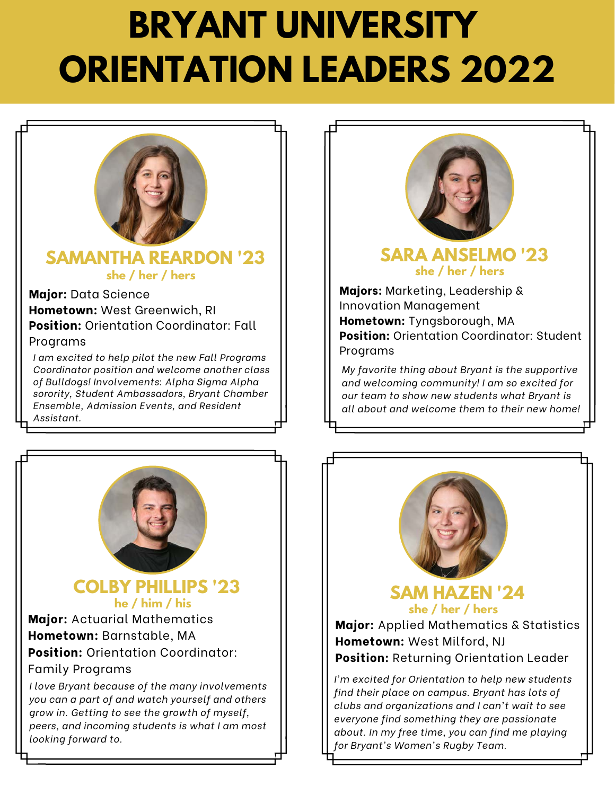

### **SAMANTHA REARDON '23 she / her / hers she / her / hers**

**Major:** Data Science **Hometown:** West Greenwich, RI **Position:** Orientation Coordinator: Fall Programs

*I am excited to help pilot the new Fall Programs Coordinator position and welcome another class of Bulldogs! Involvements: Alpha Sigma Alpha sorority, Student Ambassadors, Bryant Chamber Ensemble, Admission Events, and Resident Assistant.*



### **COLBY PHILLIPS '23 he / him / his**

**Major:** Actuarial Mathematics **Hometown:** Barnstable, MA **Position:** Orientation Coordinator: Family Programs

*I love Bryant because of the many involvements you can a part of and watch yourself and others grow in. Getting to see the growth of myself, peers, and incoming students is what I am most looking forward to.*



# **SARA ANSELMO '23**

**Majors:** Marketing, Leadership & Innovation Management **Hometown:** Tyngsborough, MA **Position:** Orientation Coordinator: Student Programs

*My favorite thing about Bryant is the supportive and welcoming community! I am so excited for our team to show new students what Bryant is all about and welcome them to their new home!*



**SAM HAZEN '24 she / her / hers**

**Major:** Applied Mathematics & Statistics **Hometown:** West Milford, NJ **Position:** Returning Orientation Leader

*I'm excited for Orientation to help new students find their place on campus. Bryant has lots of clubs and organizations and I can't wait to see everyone find something they are passionate about. In my free time, you can find me playing for Bryant's Women's Rugby Team.*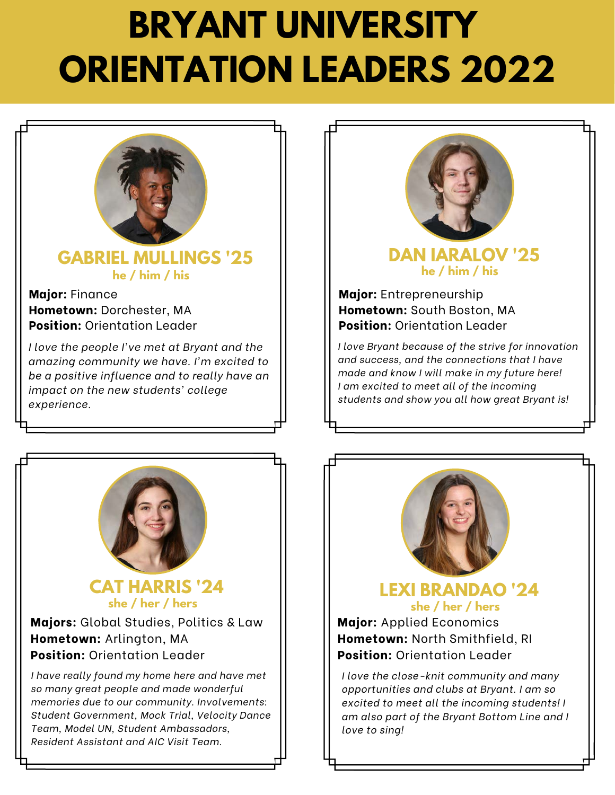

# **GABRIEL MULLINGS '25 he / him / his**

#### **Major:** Finance **Hometown:** Dorchester, MA **Position:** Orientation Leader

*I love the people I've met at Bryant and the amazing community we have. I'm excited to be a positive influence and to really have an impact on the new students' college experience.*



### **CAT HARRIS '24 she / her / hers**

#### **Majors:** Global Studies, Politics & Law **Hometown:** Arlington, MA **Position:** Orientation Leader

*I have really found my home here and have met so many great people and made wonderful memories due to our community. Involvements: Student Government, Mock Trial, Velocity Dance Team, Model UN, Student Ambassadors, Resident Assistant and AIC Visit Team.*



# **DAN IARALOV '25 he / him / his**

**Major:** Entrepreneurship **Hometown:** South Boston, MA **Position:** Orientation Leader

*I love Bryant because of the strive for innovation and success, and the connections that I have made and know I will make in my future here! I am excited to meet all of the incoming students and show you all how great Bryant is!*



# **LEXI BRANDAO '24 she / her / hers**

**Major:** Applied Economics **Hometown:** North Smithfield, RI **Position:** Orientation Leader

*I love the close-knit community and many opportunities and clubs at Bryant. I am so excited to meet all the incoming students! I am also part of the Bryant Bottom Line and I love to sing!*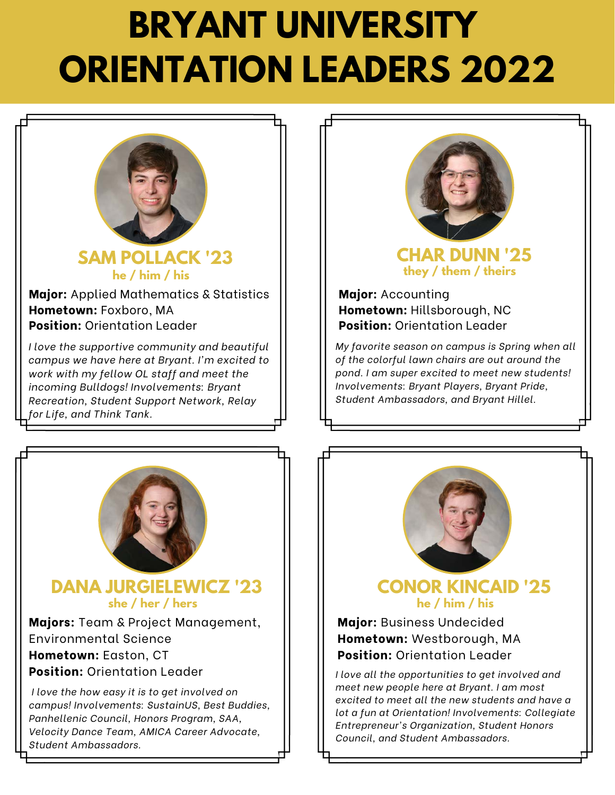

**SAM POLLACK '23 he / him / his**

**Major:** Applied Mathematics & Statistics **Hometown:** Foxboro, MA **Position:** Orientation Leader

*I love the supportive community and beautiful campus we have here at Bryant. I'm excited to work with my fellow OL staff and meet the incoming Bulldogs! Involvements: Bryant Recreation, Student Support Network, Relay for Life, and Think Tank.*



**Majors:** Team & Project Management, Environmental Science **Hometown:** Easton, CT **Position:** Orientation Leader

*I love the how easy it is to get involved on campus! Involvements: SustainUS, Best Buddies, Panhellenic Council, Honors Program, SAA, Velocity Dance Team, AMICA Career Advocate, Student Ambassadors.*



**CHAR DUNN '25 they / them / theirs**

**Major:** Accounting **Hometown:** Hillsborough, NC **Position:** Orientation Leader

*My favorite season on campus is Spring when all of the colorful lawn chairs are out around the pond. I am super excited to meet new students! Involvements: Bryant Players, Bryant Pride, Student Ambassadors, and Bryant Hillel.*



**CONOR KINCAID '25 he / him / his**

#### **Major:** Business Undecided **Hometown:** Westborough, MA **Position:** Orientation Leader

*I love all the opportunities to get involved and meet new people here at Bryant. I am most excited to meet all the new students and have a lot a fun at Orientation! Involvements: Collegiate Entrepreneur's Organization, Student Honors Council, and Student Ambassadors.*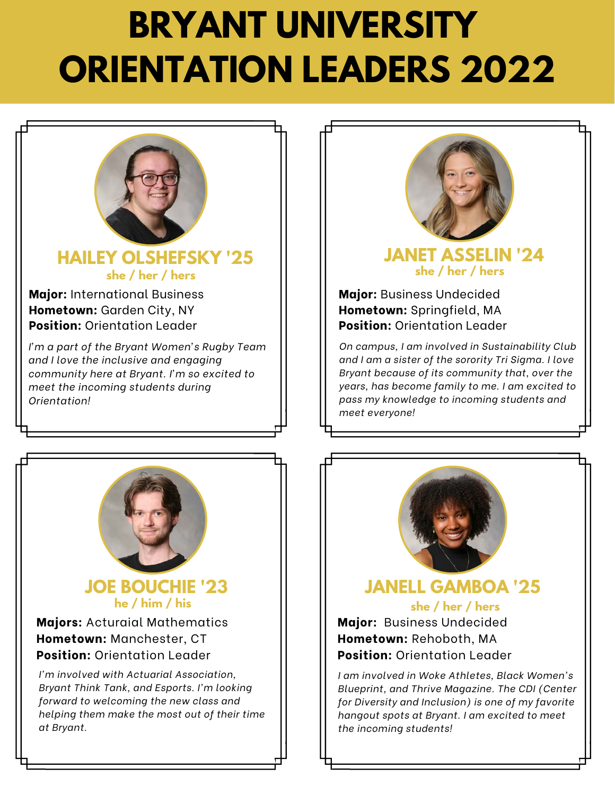

# **HAILEY OLSHEFSKY '25 she / her / hers**

**Major:** International Business **Hometown:** Garden City, NY **Position:** Orientation Leader

*I'm a part of the Bryant Women's Rugby Team and I love the inclusive and engaging community here at Bryant. I'm so excited to meet the incoming students during Orientation!*



### **JOE BOUCHIE '23 he / him / his**

**Majors:** Acturaial Mathematics **Hometown:** Manchester, CT **Position:** Orientation Leader

*I'm involved with Actuarial Association, Bryant Think Tank, and Esports. I'm looking forward to welcoming the new class and helping them make the most out of their time at Bryant.*



## **JANET ASSELIN '24 she / her / hers**

**Major:** Business Undecided **Hometown:** Springfield, MA **Position:** Orientation Leader

*On campus, I am involved in Sustainability Club and I am a sister of the sorority Tri Sigma. I love Bryant because of its community that, over the years, has become family to me. I am excited to pass my knowledge to incoming students and meet everyone!*



## **she / her / hers JANELL GAMBOA '25**

**Major:** Business Undecided **Hometown:** Rehoboth, MA **Position:** Orientation Leader

*I am involved in Woke Athletes, Black Women's Blueprint, and Thrive Magazine. The CDI (Center for Diversity and Inclusion) is one of my favorite hangout spots at Bryant. I am excited to meet the incoming students!*